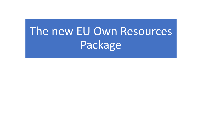# The new EU Own Resources Package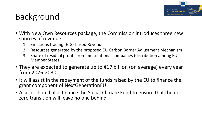

### Background

- With New Own Resources package, the Commission introduces three new sources of revenue:
	- 1. Emissions trading (ETS)-based Revenues
	- 2. Resources generated by the proposed EU Carbon Border Adjustment Mechanism
	- 3. Share of residual profits from multinational companies (distribution among EU Member States)
- They are expected to generate up to  $E17$  billion (on average) every year from 2026-2030
- It will assist in the repayment of the funds raised by the EU to finance the grant component of NextGenerationEU
- Also, it should also finance the Social Climate Fund to ensure that the netzero transition will leave no one behind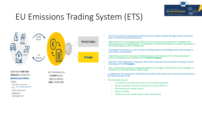

## EU Emissions Trading System (ETS)



Several sectors need to buy allowances to compensate for greenhouse gas emissions,

#### including:

- Power ninnts and industries
- Source: [European Commission](https://ec.europa.eu/commission/presscorner/detail/en/ip_21_7025)  $-$  Avit
- Maritime transport (new)
- Buildings (new)
- Road transport (new)

Part of the allowances are auctioned through a platform or otherwise **used** by Member States

- The EU Emissions Trading System (ETS) is the EU carbon market through which companies buy or receive emission allowances;
- With the Fit-for-55 package (July 2021) the Commission has proposed to strengthen the existing Emissions Trading System, extending it to maritime transport, as well as gradually to full auctioning of aviation allowances;
- A proposal to introduce a new emissions trading system for buildings and road transport is also under consideration;
- Under the current EU Emissions Trading System, most revenues from the auctioning of emission allowances are transferred to **national budgets**;
- With the "Own Resources" proposal, 25% of the revenues from emissions trading in the EU should go to the **EU budget;**
- This is estimated to generate about €12 billion on average in 2026-30 for the EU budget, or €9 billion on average between 2023-2030.
- In addition to the repayment of NextGenerationEU funds, these new revenues would finance the Social Climate Fund;
- This Fund will ensure:
	- A socially fair transition and support to vulnerable households
	- Micro-enterprises to finance investments in energy efficiency
	- New heating and cooling systems
	- Cleaner mobility
	- Temporary direct income support (when appropriate)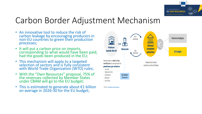

### Carbon Border Adjustment Mechanism

- An innovative tool to reduce the risk of carbon leakage by encouraging producers in non-EU countries to green their production processes;
- It will put a carbon price on imports, corresponding to what would have been paid, had the goods been produced in the EU;
- This mechanism will apply to a targeted selection of sectors and is fully consistent with World Trade Organization (WTO) rules;
- With the "Own Resources" proposal, 75% of the revenues collected by Member States under CBAM will go to the EU budget;
- This is estimated to generate about €1 billion on average in 2026-30 for the EU budget;



Source: [European Commission](https://ec.europa.eu/commission/presscorner/detail/en/ip_21_7025)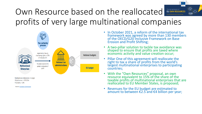### The next generation of Own Resource based on the reallocated **EU OWN RESOURCES** profits of very large multinational companies



Source: [European Commission](https://ec.europa.eu/commission/presscorner/detail/en/ip_21_7025)

• In October 2021, a reform of the international tax framework was agreed by more than 130 members of the OECD/G20 Inclusive Framework on Base Erosion and Profit Shifting;

- A two-pillar solution to tackle tax avoidance was shaped to ensure that profits are taxed where economic activity and value creation occur;
- Pillar One of this agreement will reallocate the right to tax a share of profits from the world's largest multinational enterprises to participating countries;
- With the "Own Resources" proposal, an own resource equivalent to 15% of the share of the taxable profits of multinational enterprises that are reallocated to EU Member States, is proposed;
- Revenues for the EU budget are estimated to amount to between  $\epsilon$ 2.5 and  $\epsilon$ 4 billion per year;